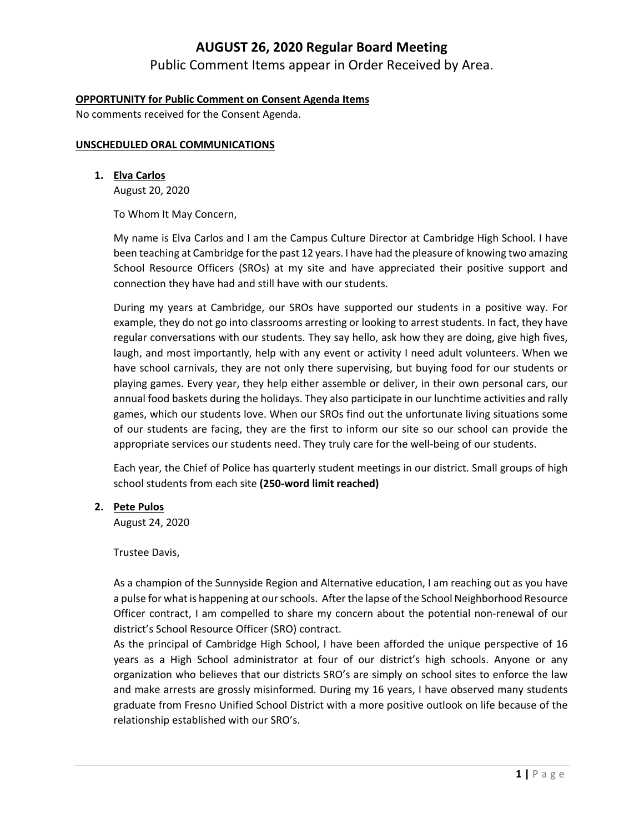# **AUGUST 26, 2020 Regular Board Meeting**

Public Comment Items appear in Order Received by Area.

## **OPPORTUNITY for Public Comment on Consent Agenda Items**

No comments received for the Consent Agenda.

#### **UNSCHEDULED ORAL COMMUNICATIONS**

**1. Elva Carlos**

August 20, 2020

To Whom It May Concern,

My name is Elva Carlos and I am the Campus Culture Director at Cambridge High School. I have been teaching at Cambridge for the past 12 years. I have had the pleasure of knowing two amazing School Resource Officers (SROs) at my site and have appreciated their positive support and connection they have had and still have with our students.

During my years at Cambridge, our SROs have supported our students in a positive way. For example, they do not go into classrooms arresting or looking to arrest students. In fact, they have regular conversations with our students. They say hello, ask how they are doing, give high fives, laugh, and most importantly, help with any event or activity I need adult volunteers. When we have school carnivals, they are not only there supervising, but buying food for our students or playing games. Every year, they help either assemble or deliver, in their own personal cars, our annual food baskets during the holidays. They also participate in our lunchtime activities and rally games, which our students love. When our SROs find out the unfortunate living situations some of our students are facing, they are the first to inform our site so our school can provide the appropriate services our students need. They truly care for the well-being of our students.

Each year, the Chief of Police has quarterly student meetings in our district. Small groups of high school students from each site **(250‐word limit reached)**

#### **2. Pete Pulos**

August 24, 2020

Trustee Davis,

As a champion of the Sunnyside Region and Alternative education, I am reaching out as you have a pulse for what is happening at ourschools. After the lapse of the School Neighborhood Resource Officer contract, I am compelled to share my concern about the potential non‐renewal of our district's School Resource Officer (SRO) contract.

As the principal of Cambridge High School, I have been afforded the unique perspective of 16 years as a High School administrator at four of our district's high schools. Anyone or any organization who believes that our districts SRO's are simply on school sites to enforce the law and make arrests are grossly misinformed. During my 16 years, I have observed many students graduate from Fresno Unified School District with a more positive outlook on life because of the relationship established with our SRO's.